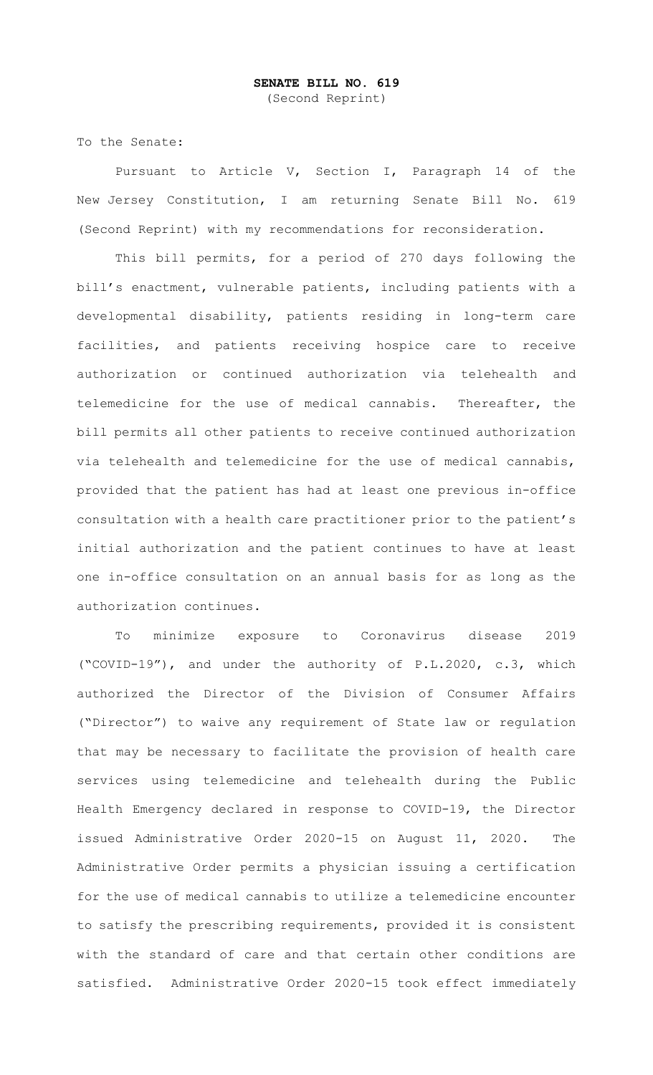To the Senate:

Pursuant to Article V, Section I, Paragraph 14 of the New Jersey Constitution, I am returning Senate Bill No. 619 (Second Reprint) with my recommendations for reconsideration.

This bill permits, for a period of 270 days following the bill's enactment, vulnerable patients, including patients with a developmental disability, patients residing in long-term care facilities, and patients receiving hospice care to receive authorization or continued authorization via telehealth and telemedicine for the use of medical cannabis. Thereafter, the bill permits all other patients to receive continued authorization via telehealth and telemedicine for the use of medical cannabis, provided that the patient has had at least one previous in-office consultation with a health care practitioner prior to the patient's initial authorization and the patient continues to have at least one in-office consultation on an annual basis for as long as the authorization continues.

To minimize exposure to Coronavirus disease 2019 ("COVID-19"), and under the authority of P.L.2020, c.3, which authorized the Director of the Division of Consumer Affairs ("Director") to waive any requirement of State law or regulation that may be necessary to facilitate the provision of health care services using telemedicine and telehealth during the Public Health Emergency declared in response to COVID-19, the Director issued Administrative Order 2020-15 on August 11, 2020. The Administrative Order permits a physician issuing a certification for the use of medical cannabis to utilize a telemedicine encounter to satisfy the prescribing requirements, provided it is consistent with the standard of care and that certain other conditions are satisfied. Administrative Order 2020-15 took effect immediately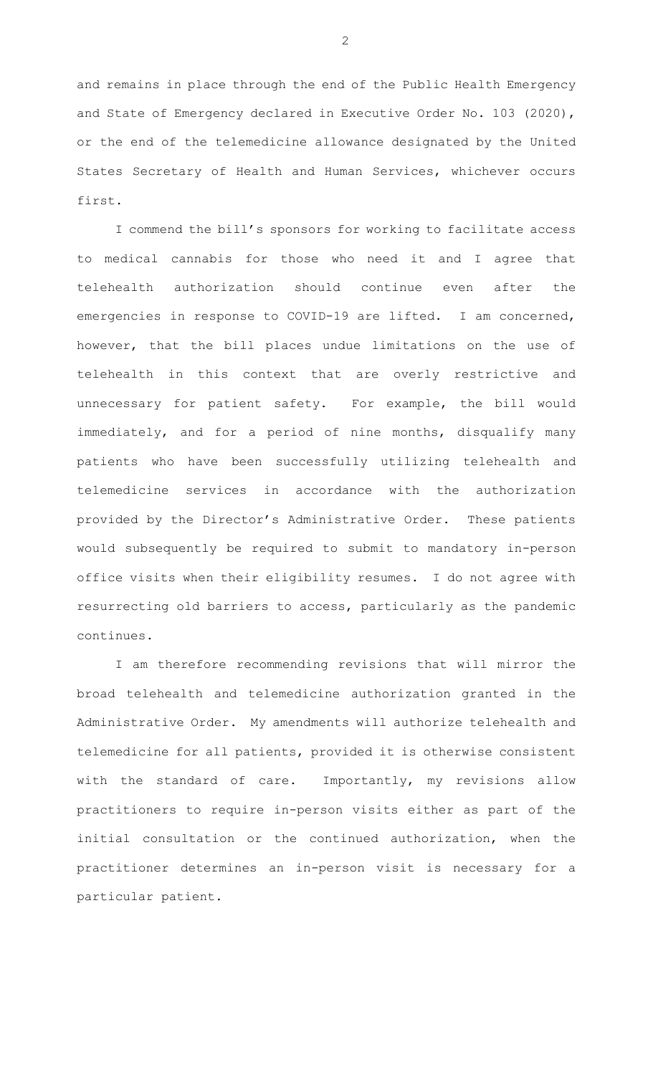and remains in place through the end of the Public Health Emergency and State of Emergency declared in Executive Order No. 103 (2020), or the end of the telemedicine allowance designated by the United States Secretary of Health and Human Services, whichever occurs first.

I commend the bill's sponsors for working to facilitate access to medical cannabis for those who need it and I agree that telehealth authorization should continue even after the emergencies in response to COVID-19 are lifted. I am concerned, however, that the bill places undue limitations on the use of telehealth in this context that are overly restrictive and unnecessary for patient safety. For example, the bill would immediately, and for a period of nine months, disqualify many patients who have been successfully utilizing telehealth and telemedicine services in accordance with the authorization provided by the Director's Administrative Order. These patients would subsequently be required to submit to mandatory in-person office visits when their eligibility resumes. I do not agree with resurrecting old barriers to access, particularly as the pandemic continues.

I am therefore recommending revisions that will mirror the broad telehealth and telemedicine authorization granted in the Administrative Order. My amendments will authorize telehealth and telemedicine for all patients, provided it is otherwise consistent with the standard of care. Importantly, my revisions allow practitioners to require in-person visits either as part of the initial consultation or the continued authorization, when the practitioner determines an in-person visit is necessary for a particular patient.

 $\mathcal{P}$